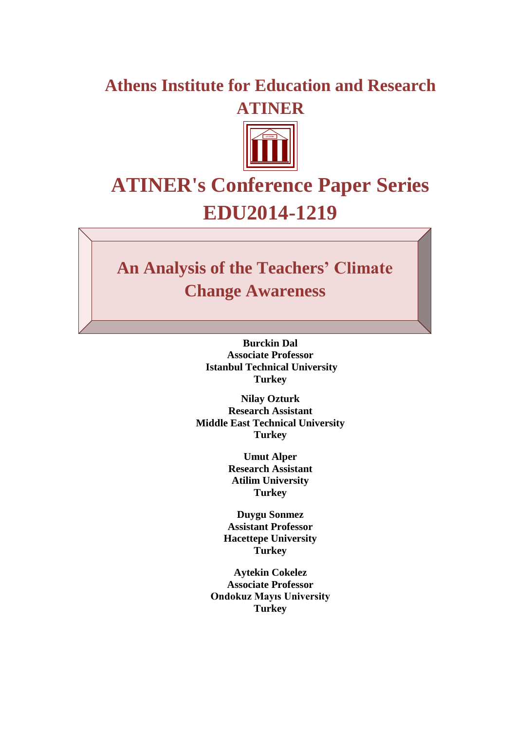## **Athens Institute for Education and Research ATINER**



# **ATINER's Conference Paper Series EDU2014-1219**

## **An Analysis of the Teachers' Climate Change Awareness**

**Burckin Dal Associate Professor Istanbul Technical University Turkey** 

**Nilay Ozturk Research Assistant Middle East Technical University Turkey** 

> **Umut Alper Research Assistant Atilim University Turkey**

**Duygu Sonmez Assistant Professor Hacettepe University Turkey**

**Aytekin Cokelez Associate Professor Ondokuz Mayıs University Turkey**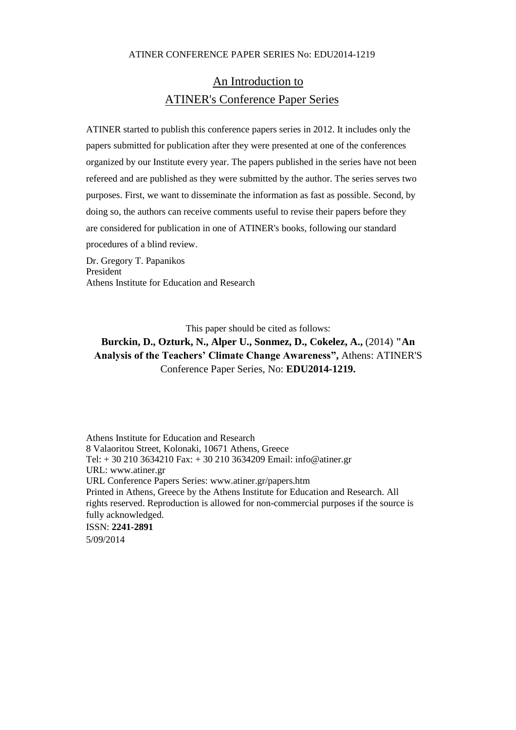## An Introduction to ATINER's Conference Paper Series

ATINER started to publish this conference papers series in 2012. It includes only the papers submitted for publication after they were presented at one of the conferences organized by our Institute every year. The papers published in the series have not been refereed and are published as they were submitted by the author. The series serves two purposes. First, we want to disseminate the information as fast as possible. Second, by doing so, the authors can receive comments useful to revise their papers before they are considered for publication in one of ATINER's books, following our standard procedures of a blind review.

Dr. Gregory T. Papanikos President Athens Institute for Education and Research

This paper should be cited as follows:

**Burckin, D., Ozturk, N., Alper U., Sonmez, D., Cokelez, A.,** (2014) **"An Analysis of the Teachers' Climate Change Awareness",** Athens: ATINER'S Conference Paper Series, No: **EDU2014-1219.**

Athens Institute for Education and Research 8 Valaoritou Street, Kolonaki, 10671 Athens, Greece Tel: + 30 210 3634210 Fax: + 30 210 3634209 Email: info@atiner.gr URL: www.atiner.gr URL Conference Papers Series: www.atiner.gr/papers.htm Printed in Athens, Greece by the Athens Institute for Education and Research. All rights reserved. Reproduction is allowed for non-commercial purposes if the source is fully acknowledged. ISSN: **2241-2891** 5/09/2014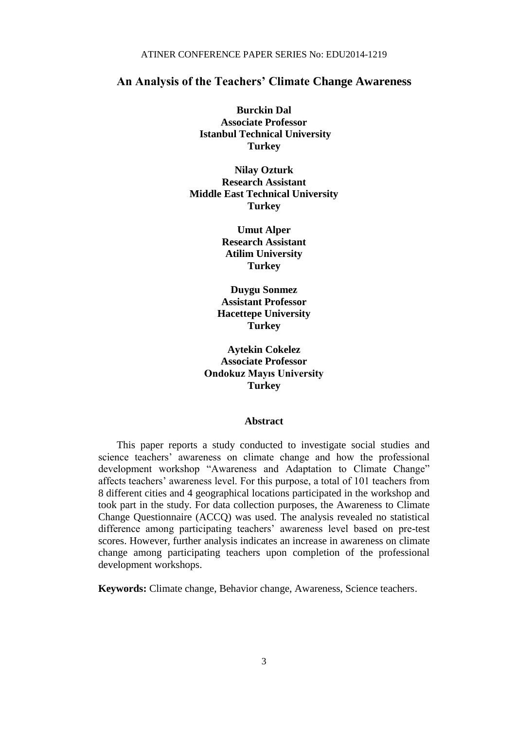## **An Analysis of the Teachers' Climate Change Awareness**

**Burckin Dal Associate Professor Istanbul Technical University Turkey** 

**Nilay Ozturk Research Assistant Middle East Technical University Turkey** 

> **Umut Alper Research Assistant Atilim University Turkey**

**Duygu Sonmez Assistant Professor Hacettepe University Turkey**

**Aytekin Cokelez Associate Professor Ondokuz Mayıs University Turkey**

## **Abstract**

This paper reports a study conducted to investigate social studies and science teachers' awareness on climate change and how the professional development workshop "Awareness and Adaptation to Climate Change" affects teachers' awareness level. For this purpose, a total of 101 teachers from 8 different cities and 4 geographical locations participated in the workshop and took part in the study. For data collection purposes, the Awareness to Climate Change Questionnaire (ACCQ) was used. The analysis revealed no statistical difference among participating teachers' awareness level based on pre-test scores. However, further analysis indicates an increase in awareness on climate change among participating teachers upon completion of the professional development workshops.

**Keywords:** Climate change, Behavior change, Awareness, Science teachers.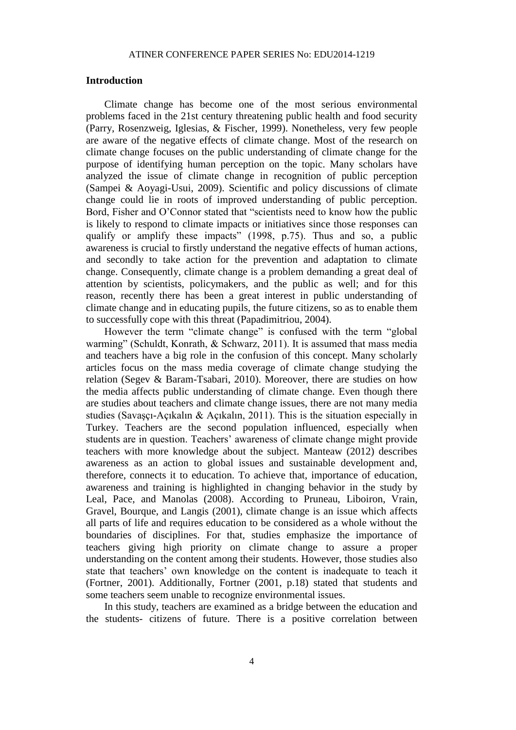## **Introduction**

Climate change has become one of the most serious environmental problems faced in the 21st century threatening public health and food security (Parry, Rosenzweig, Iglesias, & Fischer, 1999). Nonetheless, very few people are aware of the negative effects of climate change. Most of the research on climate change focuses on the public understanding of climate change for the purpose of identifying human perception on the topic. Many scholars have analyzed the issue of climate change in recognition of public perception (Sampei & Aoyagi-Usui, 2009). Scientific and policy discussions of climate change could lie in roots of improved understanding of public perception. Bord, Fisher and O'Connor stated that "scientists need to know how the public is likely to respond to climate impacts or initiatives since those responses can qualify or amplify these impacts" (1998, p.75). Thus and so, a public awareness is crucial to firstly understand the negative effects of human actions, and secondly to take action for the prevention and adaptation to climate change. Consequently, climate change is a problem demanding a great deal of attention by scientists, policymakers, and the public as well; and for this reason, recently there has been a great interest in public understanding of climate change and in educating pupils, the future citizens, so as to enable them to successfully cope with this threat (Papadimitriou, 2004).

However the term "climate change" is confused with the term "global" warming" (Schuldt, Konrath, & Schwarz, 2011). It is assumed that mass media and teachers have a big role in the confusion of this concept. Many scholarly articles focus on the mass media coverage of climate change studying the relation (Segev & Baram-Tsabari, 2010). Moreover, there are studies on how the media affects public understanding of climate change. Even though there are studies about teachers and climate change issues, there are not many media studies (Savaşçı-Açıkalın & Açıkalın, 2011). This is the situation especially in Turkey. Teachers are the second population influenced, especially when students are in question. Teachers' awareness of climate change might provide teachers with more knowledge about the subject. Manteaw (2012) describes awareness as an action to global issues and sustainable development and, therefore, connects it to education. To achieve that, importance of education, awareness and training is highlighted in changing behavior in the study by Leal, Pace, and Manolas (2008). According to Pruneau, Liboiron, Vrain, Gravel, Bourque, and Langis (2001), climate change is an issue which affects all parts of life and requires education to be considered as a whole without the boundaries of disciplines. For that, studies emphasize the importance of teachers giving high priority on climate change to assure a proper understanding on the content among their students. However, those studies also state that teachers' own knowledge on the content is inadequate to teach it (Fortner, 2001). Additionally, Fortner (2001, p.18) stated that students and some teachers seem unable to recognize environmental issues.

In this study, teachers are examined as a bridge between the education and the students- citizens of future. There is a positive correlation between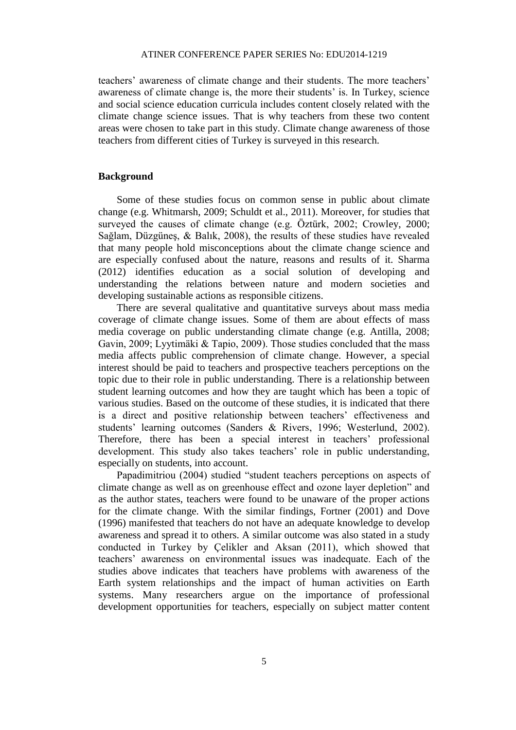teachers' awareness of climate change and their students. The more teachers' awareness of climate change is, the more their students' is. In Turkey, science and social science education curricula includes content closely related with the climate change science issues. That is why teachers from these two content areas were chosen to take part in this study. Climate change awareness of those teachers from different cities of Turkey is surveyed in this research.

## **Background**

Some of these studies focus on common sense in public about climate change (e.g. Whitmarsh, 2009; Schuldt et al., 2011). Moreover, for studies that surveyed the causes of climate change (e.g. Öztürk, 2002; Crowley, 2000; Sağlam, Düzgüneş, & Balık, 2008), the results of these studies have revealed that many people hold misconceptions about the climate change science and are especially confused about the nature, reasons and results of it. Sharma (2012) identifies education as a social solution of developing and understanding the relations between nature and modern societies and developing sustainable actions as responsible citizens.

There are several qualitative and quantitative surveys about mass media coverage of climate change issues. Some of them are about effects of mass media coverage on public understanding climate change (e.g. Antilla, 2008; Gavin, 2009; Lyytimäki & Tapio, 2009). Those studies concluded that the mass media affects public comprehension of climate change. However, a special interest should be paid to teachers and prospective teachers perceptions on the topic due to their role in public understanding. There is a relationship between student learning outcomes and how they are taught which has been a topic of various studies. Based on the outcome of these studies, it is indicated that there is a direct and positive relationship between teachers' effectiveness and students' learning outcomes (Sanders & Rivers, 1996; Westerlund, 2002). Therefore, there has been a special interest in teachers' professional development. This study also takes teachers' role in public understanding, especially on students, into account.

Papadimitriou (2004) studied "student teachers perceptions on aspects of climate change as well as on greenhouse effect and ozone layer depletion" and as the author states, teachers were found to be unaware of the proper actions for the climate change. With the similar findings, Fortner (2001) and Dove (1996) manifested that teachers do not have an adequate knowledge to develop awareness and spread it to others. A similar outcome was also stated in a study conducted in Turkey by Çelikler and Aksan (2011), which showed that teachers' awareness on environmental issues was inadequate. Each of the studies above indicates that teachers have problems with awareness of the Earth system relationships and the impact of human activities on Earth systems. Many researchers argue on the importance of professional development opportunities for teachers, especially on subject matter content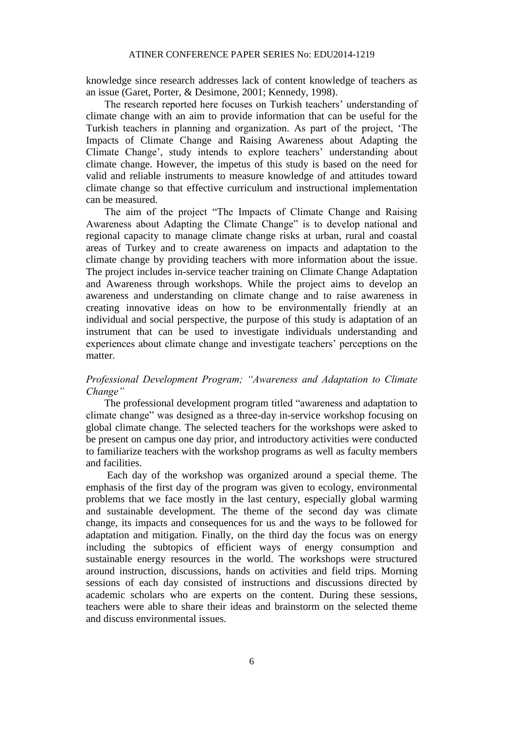knowledge since research addresses lack of content knowledge of teachers as an issue (Garet, Porter, & Desimone, 2001; Kennedy, 1998).

The research reported here focuses on Turkish teachers' understanding of climate change with an aim to provide information that can be useful for the Turkish teachers in planning and organization. As part of the project, 'The Impacts of Climate Change and Raising Awareness about Adapting the Climate Change', study intends to explore teachers' understanding about climate change. However, the impetus of this study is based on the need for valid and reliable instruments to measure knowledge of and attitudes toward climate change so that effective curriculum and instructional implementation can be measured.

The aim of the project "The Impacts of Climate Change and Raising Awareness about Adapting the Climate Change" is to develop national and regional capacity to manage climate change risks at urban, rural and coastal areas of Turkey and to create awareness on impacts and adaptation to the climate change by providing teachers with more information about the issue. The project includes in-service teacher training on Climate Change Adaptation and Awareness through workshops. While the project aims to develop an awareness and understanding on climate change and to raise awareness in creating innovative ideas on how to be environmentally friendly at an individual and social perspective, the purpose of this study is adaptation of an instrument that can be used to investigate individuals understanding and experiences about climate change and investigate teachers' perceptions on the matter.

## *Professional Development Program; "Awareness and Adaptation to Climate Change"*

The professional development program titled "awareness and adaptation to climate change" was designed as a three-day in-service workshop focusing on global climate change. The selected teachers for the workshops were asked to be present on campus one day prior, and introductory activities were conducted to familiarize teachers with the workshop programs as well as faculty members and facilities.

Each day of the workshop was organized around a special theme. The emphasis of the first day of the program was given to ecology, environmental problems that we face mostly in the last century, especially global warming and sustainable development. The theme of the second day was climate change, its impacts and consequences for us and the ways to be followed for adaptation and mitigation. Finally, on the third day the focus was on energy including the subtopics of efficient ways of energy consumption and sustainable energy resources in the world. The workshops were structured around instruction, discussions, hands on activities and field trips. Morning sessions of each day consisted of instructions and discussions directed by academic scholars who are experts on the content. During these sessions, teachers were able to share their ideas and brainstorm on the selected theme and discuss environmental issues.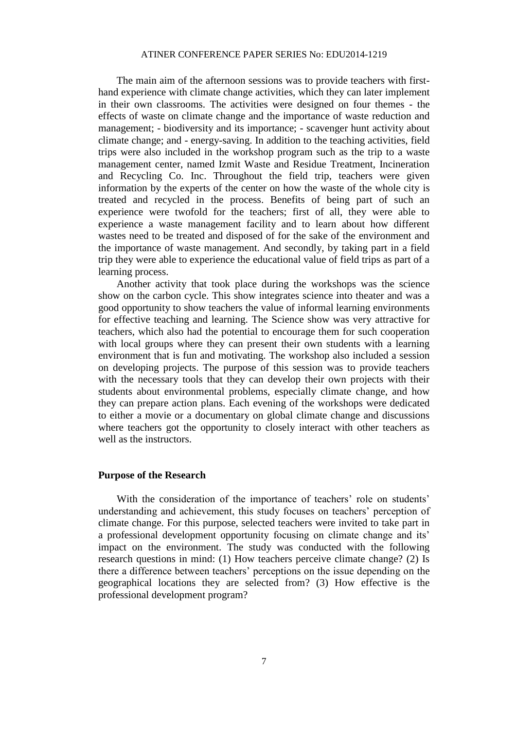The main aim of the afternoon sessions was to provide teachers with firsthand experience with climate change activities, which they can later implement in their own classrooms. The activities were designed on four themes - the effects of waste on climate change and the importance of waste reduction and management; - biodiversity and its importance; - scavenger hunt activity about climate change; and - energy-saving. In addition to the teaching activities, field trips were also included in the workshop program such as the trip to a waste management center, named Izmit Waste and Residue Treatment, Incineration and Recycling Co. Inc. Throughout the field trip, teachers were given information by the experts of the center on how the waste of the whole city is treated and recycled in the process. Benefits of being part of such an experience were twofold for the teachers; first of all, they were able to experience a waste management facility and to learn about how different wastes need to be treated and disposed of for the sake of the environment and the importance of waste management. And secondly, by taking part in a field trip they were able to experience the educational value of field trips as part of a learning process.

Another activity that took place during the workshops was the science show on the carbon cycle. This show integrates science into theater and was a good opportunity to show teachers the value of informal learning environments for effective teaching and learning. The Science show was very attractive for teachers, which also had the potential to encourage them for such cooperation with local groups where they can present their own students with a learning environment that is fun and motivating. The workshop also included a session on developing projects. The purpose of this session was to provide teachers with the necessary tools that they can develop their own projects with their students about environmental problems, especially climate change, and how they can prepare action plans. Each evening of the workshops were dedicated to either a movie or a documentary on global climate change and discussions where teachers got the opportunity to closely interact with other teachers as well as the instructors.

## **Purpose of the Research**

With the consideration of the importance of teachers' role on students' understanding and achievement, this study focuses on teachers' perception of climate change. For this purpose, selected teachers were invited to take part in a professional development opportunity focusing on climate change and its' impact on the environment. The study was conducted with the following research questions in mind: (1) How teachers perceive climate change? (2) Is there a difference between teachers' perceptions on the issue depending on the geographical locations they are selected from? (3) How effective is the professional development program?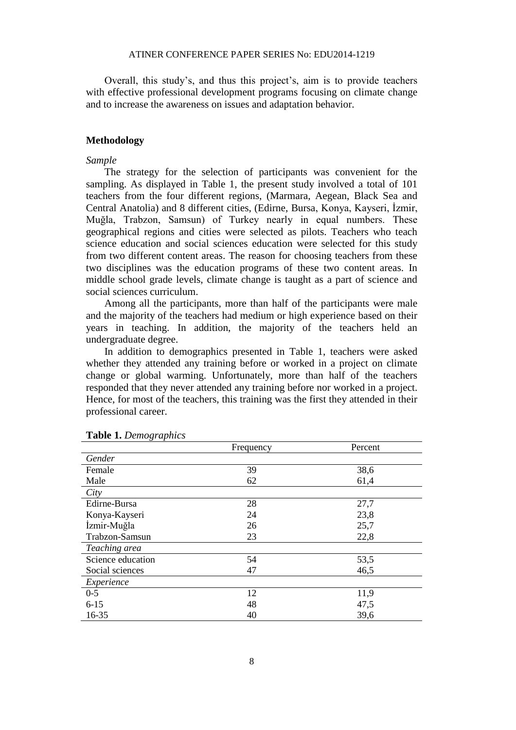Overall, this study's, and thus this project's, aim is to provide teachers with effective professional development programs focusing on climate change and to increase the awareness on issues and adaptation behavior.

## **Methodology**

#### *Sample*

The strategy for the selection of participants was convenient for the sampling. As displayed in Table 1, the present study involved a total of 101 teachers from the four different regions, (Marmara, Aegean, Black Sea and Central Anatolia) and 8 different cities, (Edirne, Bursa, Konya, Kayseri, İzmir, Muğla, Trabzon, Samsun) of Turkey nearly in equal numbers. These geographical regions and cities were selected as pilots. Teachers who teach science education and social sciences education were selected for this study from two different content areas. The reason for choosing teachers from these two disciplines was the education programs of these two content areas. In middle school grade levels, climate change is taught as a part of science and social sciences curriculum.

Among all the participants, more than half of the participants were male and the majority of the teachers had medium or high experience based on their years in teaching. In addition, the majority of the teachers held an undergraduate degree.

In addition to demographics presented in Table 1, teachers were asked whether they attended any training before or worked in a project on climate change or global warming. Unfortunately, more than half of the teachers responded that they never attended any training before nor worked in a project. Hence, for most of the teachers, this training was the first they attended in their professional career.

|                   | Frequency | Percent |
|-------------------|-----------|---------|
| Gender            |           |         |
| Female            | 39        | 38,6    |
| Male              | 62        | 61,4    |
| City              |           |         |
| Edirne-Bursa      | 28        | 27,7    |
| Konya-Kayseri     | 24        | 23,8    |
| İzmir-Muğla       | 26        | 25,7    |
| Trabzon-Samsun    | 23        | 22,8    |
| Teaching area     |           |         |
| Science education | 54        | 53,5    |
| Social sciences   | 47        | 46,5    |
| Experience        |           |         |
| $0-5$             | 12        | 11,9    |
| $6 - 15$          | 48        | 47,5    |
| 16-35             | 40        | 39,6    |

## **Table 1.** *Demographics*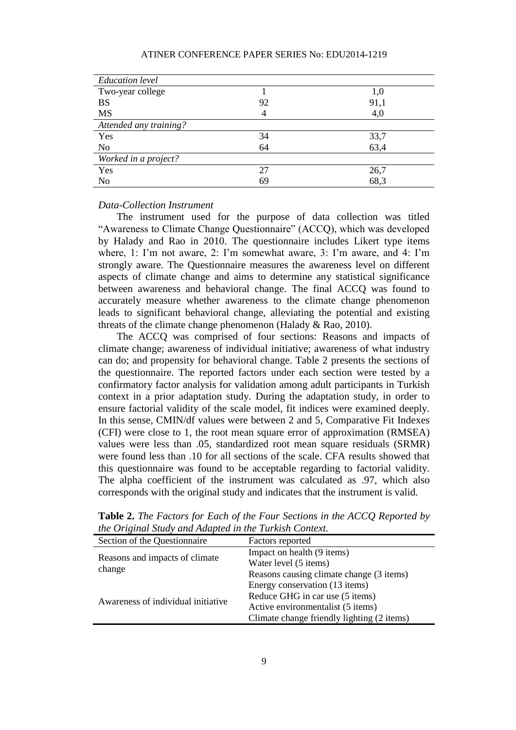| <b>Education</b> level |    |      |  |  |  |
|------------------------|----|------|--|--|--|
| Two-year college       |    | 1,0  |  |  |  |
| <b>BS</b>              | 92 | 91,1 |  |  |  |
| <b>MS</b>              |    | 4,0  |  |  |  |
| Attended any training? |    |      |  |  |  |
| Yes                    | 34 | 33,7 |  |  |  |
| N <sub>o</sub>         | 64 | 63,4 |  |  |  |
| Worked in a project?   |    |      |  |  |  |
| Yes                    | 27 | 26,7 |  |  |  |
| No                     | 69 | 68,3 |  |  |  |
|                        |    |      |  |  |  |

## *Data-Collection Instrument*

The instrument used for the purpose of data collection was titled "Awareness to Climate Change Questionnaire" (ACCQ), which was developed by Halady and Rao in 2010. The questionnaire includes Likert type items where, 1: I'm not aware, 2: I'm somewhat aware, 3: I'm aware, and 4: I'm strongly aware. The Questionnaire measures the awareness level on different aspects of climate change and aims to determine any statistical significance between awareness and behavioral change. The final ACCQ was found to accurately measure whether awareness to the climate change phenomenon leads to significant behavioral change, alleviating the potential and existing threats of the climate change phenomenon (Halady & Rao, 2010).

The ACCQ was comprised of four sections: Reasons and impacts of climate change; awareness of individual initiative; awareness of what industry can do; and propensity for behavioral change. Table 2 presents the sections of the questionnaire. The reported factors under each section were tested by a confirmatory factor analysis for validation among adult participants in Turkish context in a prior adaptation study. During the adaptation study, in order to ensure factorial validity of the scale model, fit indices were examined deeply. In this sense, CMIN/df values were between 2 and 5, Comparative Fit Indexes (CFI) were close to 1, the root mean square error of approximation (RMSEA) values were less than .05, standardized root mean square residuals (SRMR) were found less than .10 for all sections of the scale. CFA results showed that this questionnaire was found to be acceptable regarding to factorial validity. The alpha coefficient of the instrument was calculated as .97, which also corresponds with the original study and indicates that the instrument is valid.

| Section of the Questionnaire       | Factors reported                           |
|------------------------------------|--------------------------------------------|
|                                    | Impact on health (9 items)                 |
| Reasons and impacts of climate     | Water level (5 items)                      |
| change                             | Reasons causing climate change (3 items)   |
|                                    | Energy conservation (13 items)             |
|                                    | Reduce GHG in car use (5 items)            |
| Awareness of individual initiative | Active environmentalist (5 items)          |
|                                    | Climate change friendly lighting (2 items) |

**Table 2.** *The Factors for Each of the Four Sections in the ACCQ Reported by the Original Study and Adapted in the Turkish Context.*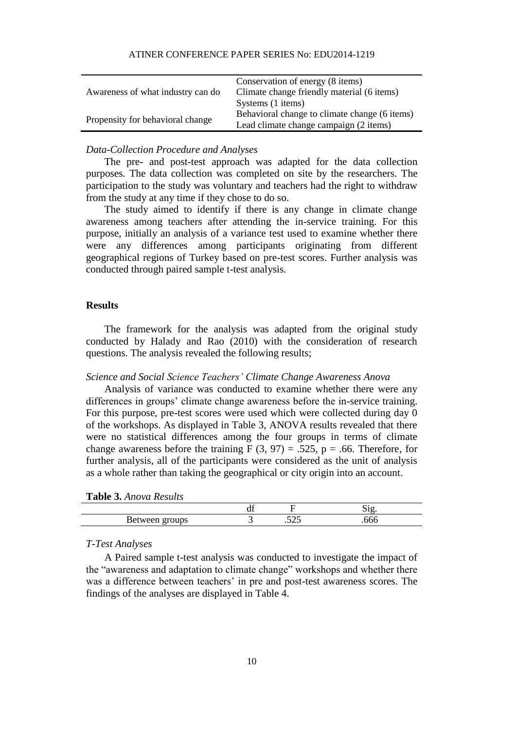| Awareness of what industry can do | Conservation of energy (8 items)              |  |
|-----------------------------------|-----------------------------------------------|--|
|                                   | Climate change friendly material (6 items)    |  |
|                                   | Systems (1 items)                             |  |
| Propensity for behavioral change  | Behavioral change to climate change (6 items) |  |
|                                   | Lead climate change campaign (2 items)        |  |

## *Data-Collection Procedure and Analyses*

The pre- and post-test approach was adapted for the data collection purposes. The data collection was completed on site by the researchers. The participation to the study was voluntary and teachers had the right to withdraw from the study at any time if they chose to do so.

The study aimed to identify if there is any change in climate change awareness among teachers after attending the in-service training. For this purpose, initially an analysis of a variance test used to examine whether there were any differences among participants originating from different geographical regions of Turkey based on pre-test scores. Further analysis was conducted through paired sample t-test analysis.

## **Results**

The framework for the analysis was adapted from the original study conducted by Halady and Rao (2010) with the consideration of research questions. The analysis revealed the following results;

## *Science and Social Science Teachers' Climate Change Awareness Anova*

Analysis of variance was conducted to examine whether there were any differences in groups' climate change awareness before the in-service training. For this purpose, pre-test scores were used which were collected during day 0 of the workshops. As displayed in Table 3, ANOVA results revealed that there were no statistical differences among the four groups in terms of climate change awareness before the training F  $(3, 97) = .525$ , p = .66. Therefore, for further analysis, all of the participants were considered as the unit of analysis as a whole rather than taking the geographical or city origin into an account.

|                 | ື |                      |  |
|-----------------|---|----------------------|--|
| $-0.000$<br>. . |   | . .<br>. .<br>ت سے ب |  |

## *T-Test Analyses*

A Paired sample t-test analysis was conducted to investigate the impact of the "awareness and adaptation to climate change" workshops and whether there was a difference between teachers' in pre and post-test awareness scores. The findings of the analyses are displayed in Table 4.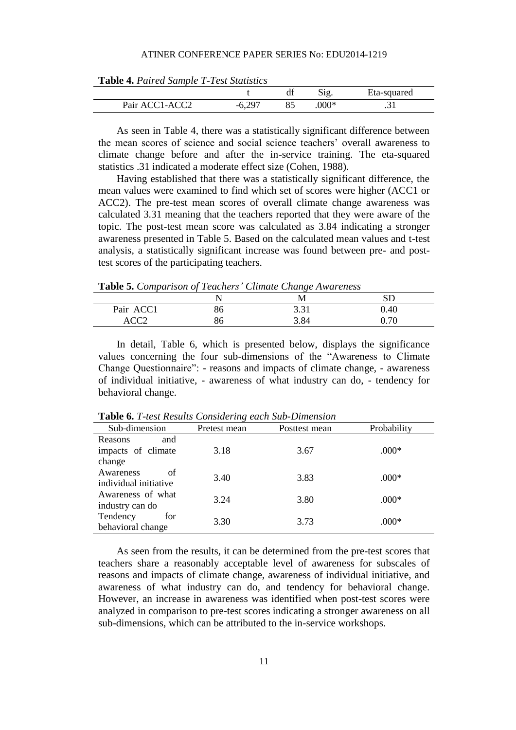| <b>Lavit +.</b> Laurea Sample 1-rest Statistics |          |        |             |
|-------------------------------------------------|----------|--------|-------------|
|                                                 |          | 519.   | Eta-squared |
| Pair ACC1-ACC2                                  | $-6.297$ | $000*$ |             |

**Table 4.** *Paired Sample T-Test Statistics*

As seen in Table 4, there was a statistically significant difference between the mean scores of science and social science teachers' overall awareness to climate change before and after the in-service training. The eta-squared statistics .31 indicated a moderate effect size (Cohen, 1988).

Having established that there was a statistically significant difference, the mean values were examined to find which set of scores were higher (ACC1 or ACC2). The pre-test mean scores of overall climate change awareness was calculated 3.31 meaning that the teachers reported that they were aware of the topic. The post-test mean score was calculated as 3.84 indicating a stronger awareness presented in Table 5. Based on the calculated mean values and t-test analysis, a statistically significant increase was found between pre- and posttest scores of the participating teachers.

**Table 5.** *Comparison of Teachers' Climate Change Awareness*

|           |    | . .                 |      |
|-----------|----|---------------------|------|
|           |    | M                   |      |
| Pair ACC1 | υU | 2.21<br><b>J.JI</b> | 0.40 |
|           | JU | :.84                | 70   |

In detail, Table 6, which is presented below, displays the significance values concerning the four sub-dimensions of the "Awareness to Climate Change Questionnaire": - reasons and impacts of climate change, - awareness of individual initiative, - awareness of what industry can do, - tendency for behavioral change.

| Sub-dimension         | $\cup$<br>Pretest mean | Posttest mean | Probability |
|-----------------------|------------------------|---------------|-------------|
| Reasons<br>and        |                        |               |             |
| impacts of climate    | 3.18                   | 3.67          | $.000*$     |
| change                |                        |               |             |
| Awareness<br>of       | 3.40                   | 3.83          | $.000*$     |
| individual initiative |                        |               |             |
| Awareness of what     | 3.24                   | 3.80          | $.000*$     |
| industry can do       |                        |               |             |
| Tendency<br>for       | 3.30                   | 3.73          | $.000*$     |
| behavioral change     |                        |               |             |

**Table 6.** *T-test Results Considering each Sub-Dimension*

As seen from the results, it can be determined from the pre-test scores that teachers share a reasonably acceptable level of awareness for subscales of reasons and impacts of climate change, awareness of individual initiative, and awareness of what industry can do, and tendency for behavioral change. However, an increase in awareness was identified when post-test scores were analyzed in comparison to pre-test scores indicating a stronger awareness on all sub-dimensions, which can be attributed to the in-service workshops.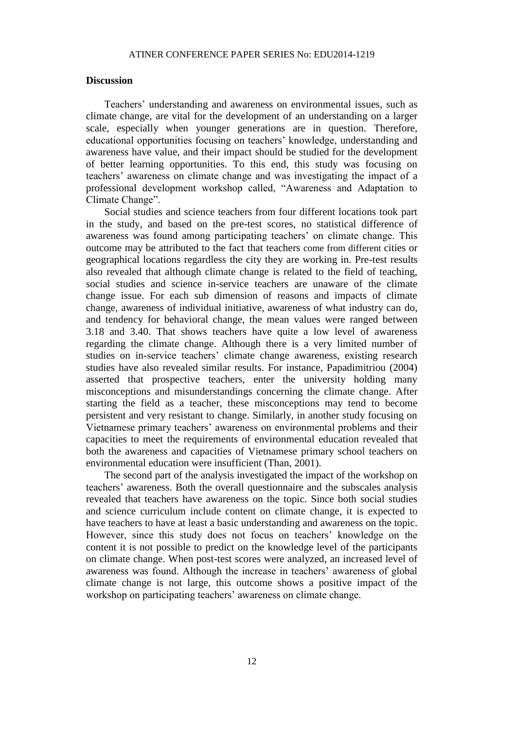## **Discussion**

Teachers' understanding and awareness on environmental issues, such as climate change, are vital for the development of an understanding on a larger scale, especially when younger generations are in question. Therefore, educational opportunities focusing on teachers' knowledge, understanding and awareness have value, and their impact should be studied for the development of better learning opportunities. To this end, this study was focusing on teachers' awareness on climate change and was investigating the impact of a professional development workshop called, "Awareness and Adaptation to Climate Change".

Social studies and science teachers from four different locations took part in the study, and based on the pre-test scores, no statistical difference of awareness was found among participating teachers' on climate change. This outcome may be attributed to the fact that teachers come from different cities or geographical locations regardless the city they are working in. Pre-test results also revealed that although climate change is related to the field of teaching, social studies and science in-service teachers are unaware of the climate change issue. For each sub dimension of reasons and impacts of climate change, awareness of individual initiative, awareness of what industry can do, and tendency for behavioral change, the mean values were ranged between 3.18 and 3.40. That shows teachers have quite a low level of awareness regarding the climate change. Although there is a very limited number of studies on in-service teachers' climate change awareness, existing research studies have also revealed similar results. For instance, Papadimitriou (2004) asserted that prospective teachers, enter the university holding many misconceptions and misunderstandings concerning the climate change. After starting the field as a teacher, these misconceptions may tend to become persistent and very resistant to change. Similarly, in another study focusing on Vietnamese primary teachers' awareness on environmental problems and their capacities to meet the requirements of environmental education revealed that both the awareness and capacities of Vietnamese primary school teachers on environmental education were insufficient (Than, 2001).

The second part of the analysis investigated the impact of the workshop on teachers' awareness. Both the overall questionnaire and the subscales analysis revealed that teachers have awareness on the topic. Since both social studies and science curriculum include content on climate change, it is expected to have teachers to have at least a basic understanding and awareness on the topic. However, since this study does not focus on teachers' knowledge on the content it is not possible to predict on the knowledge level of the participants on climate change. When post-test scores were analyzed, an increased level of awareness was found. Although the increase in teachers' awareness of global climate change is not large, this outcome shows a positive impact of the workshop on participating teachers' awareness on climate change.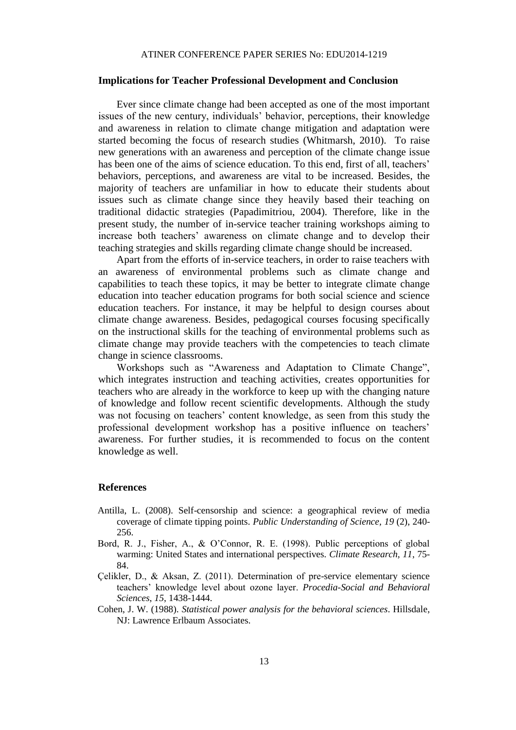## **Implications for Teacher Professional Development and Conclusion**

Ever since climate change had been accepted as one of the most important issues of the new century, individuals' behavior, perceptions, their knowledge and awareness in relation to climate change mitigation and adaptation were started becoming the focus of research studies (Whitmarsh, 2010). To raise new generations with an awareness and perception of the climate change issue has been one of the aims of science education. To this end, first of all, teachers' behaviors, perceptions, and awareness are vital to be increased. Besides, the majority of teachers are unfamiliar in how to educate their students about issues such as climate change since they heavily based their teaching on traditional didactic strategies (Papadimitriou, 2004). Therefore, like in the present study, the number of in-service teacher training workshops aiming to increase both teachers' awareness on climate change and to develop their teaching strategies and skills regarding climate change should be increased.

Apart from the efforts of in-service teachers, in order to raise teachers with an awareness of environmental problems such as climate change and capabilities to teach these topics, it may be better to integrate climate change education into teacher education programs for both social science and science education teachers. For instance, it may be helpful to design courses about climate change awareness. Besides, pedagogical courses focusing specifically on the instructional skills for the teaching of environmental problems such as climate change may provide teachers with the competencies to teach climate change in science classrooms.

Workshops such as "Awareness and Adaptation to Climate Change", which integrates instruction and teaching activities, creates opportunities for teachers who are already in the workforce to keep up with the changing nature of knowledge and follow recent scientific developments. Although the study was not focusing on teachers' content knowledge, as seen from this study the professional development workshop has a positive influence on teachers' awareness. For further studies, it is recommended to focus on the content knowledge as well.

## **References**

- Antilla, L. (2008). Self-censorship and science: a geographical review of media coverage of climate tipping points. *Public Understanding of Science, 19* (2), 240- 256.
- Bord, R. J., Fisher, A., & O'Connor, R. E. (1998). Public perceptions of global warming: United States and international perspectives. *Climate Research, 11*, 75- 84.
- Çelikler, D., & Aksan, Z. (2011). Determination of pre-service elementary science teachers' knowledge level about ozone layer. *Procedia-Social and Behavioral Sciences*, *15*, 1438-1444.
- Cohen, J. W. (1988). *Statistical power analysis for the behavioral sciences*. Hillsdale, NJ: Lawrence Erlbaum Associates.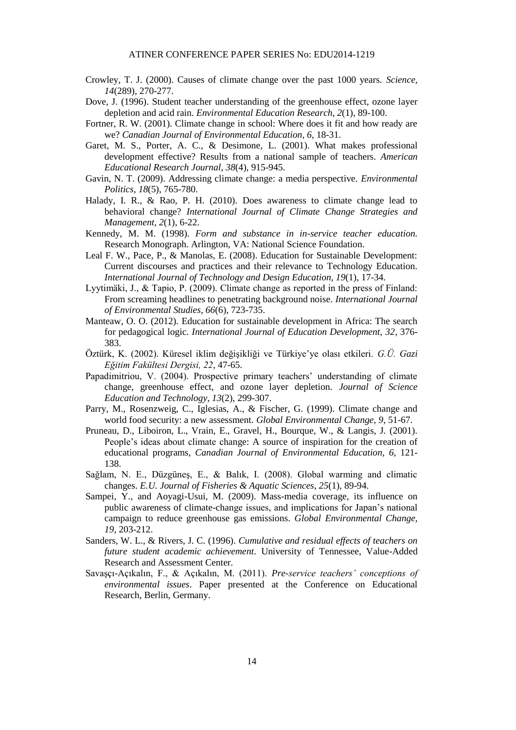- Crowley, T. J. (2000). Causes of climate change over the past 1000 years. *Science, 14*(289), 270-277.
- Dove, J. (1996). Student teacher understanding of the greenhouse effect, ozone layer depletion and acid rain. *Environmental Education Research, 2*(1), 89-100.
- Fortner, R. W. (2001). Climate change in school: Where does it fit and how ready are we? *Canadian Journal of Environmental Education, 6*, 18-31.
- Garet, M. S., Porter, A. C., & Desimone, L. (2001). What makes professional development effective? Results from a national sample of teachers. *American Educational Research Journal, 38*(4), 915-945.
- Gavin, N. T. (2009). Addressing climate change: a media perspective. *Environmental Politics, 18*(5), 765-780.
- Halady, I. R., & Rao, P. H. (2010). Does awareness to climate change lead to behavioral change? *International Journal of Climate Change Strategies and Management, 2*(1), 6-22.
- Kennedy, M. M. (1998). *Form and substance in in-service teacher education.*  Research Monograph. Arlington, VA: National Science Foundation.
- Leal F. W., Pace, P., & Manolas, E. (2008). Education for Sustainable Development: Current discourses and practices and their relevance to Technology Education. *International Journal of Technology and Design Education, 19*(1), 17-34.
- Lyytimäki, J., & Tapio, P. (2009). Climate change as reported in the press of Finland: From screaming headlines to penetrating background noise. *International Journal of Environmental Studies, 66*(6), 723-735.
- Manteaw, O. O. (2012). Education for sustainable development in Africa: The search for pedagogical logic. *International Journal of Education Development, 32*, 376- 383.
- Öztürk, K. (2002). Küresel iklim değişikliği ve Türkiye'ye olası etkileri. *G.Ü. Gazi Eğitim Fakültesi Dergisi, 22*, 47-65.
- Papadimitriou, V. (2004). Prospective primary teachers' understanding of climate change, greenhouse effect, and ozone layer depletion. *Journal of Science Education and Technology*, *13*(2), 299-307.
- Parry, M., Rosenzweig, C., Iglesias, A., & Fischer, G. (1999). Climate change and world food security: a new assessment. *Global Environmental Change, 9*, 51-67.
- Pruneau, D., Liboiron, L., Vrain, E., Gravel, H., Bourque, W., & Langis, J. (2001). People's ideas about climate change: A source of inspiration for the creation of educational programs, *Canadian Journal of Environmental Education, 6*, 121- 138.
- Sağlam, N. E., Düzgüneş, E., & Balık, I. (2008). Global warming and climatic changes. *E.U. Journal of Fisheries & Aquatic Sciences*, *25*(1), 89-94.
- Sampei, Y., and Aoyagi-Usui, M. (2009). Mass-media coverage, its influence on public awareness of climate-change issues, and implications for Japan's national campaign to reduce greenhouse gas emissions. *Global Environmental Change, 19*, 203-212.
- Sanders, W. L., & Rivers, J. C. (1996). *Cumulative and residual effects of teachers on future student academic achievement*. University of Tennessee, Value-Added Research and Assessment Center.
- Savaşçı-Açıkalın, F., & Açıkalın, M. (2011). *Pre-service teachers' conceptions of environmental issues*. Paper presented at the Conference on Educational Research, Berlin, Germany.